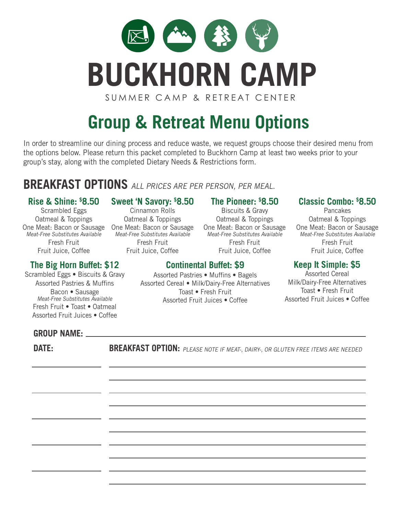

# **Group & Retreat Menu Options**

In order to streamline our dining process and reduce waste, we request groups choose their desired menu from the options below. Please return this packet completed to Buckhorn Camp at least two weeks prior to your group's stay, along with the completed Dietary Needs & Restrictions form.

# **BREAKFAST OPTIONS** ALL PRICES ARE PER PERSON, PER MEAL.

#### **Rise & Shine: \$ 8.50**

Scrambled Eggs Oatmeal & Toppings One Meat: Bacon or Sausage One Meat: Bacon or Sausage Meat-Free Substitutes Available Fresh Fruit Fruit Juice, Coffee

# **The Big Horn Buffet: \$12**

Scrambled Eggs • Biscuits & Gravy Assorted Pastries & Muffins Bacon • Sausage Meat-Free Substitutes Available Fresh Fruit • Toast • Oatmeal Assorted Fruit Juices • Coffee

### **Sweet 'N Savory: \$ 8.50**

Cinnamon Rolls Oatmeal & Toppings Meat-Free Substitutes Available Fresh Fruit Fruit Juice, Coffee

#### **The Pioneer: \$ 8.50**

Biscuits & Gravy Oatmeal & Toppings One Meat: Bacon or Sausage Meat-Free Substitutes Available Fresh Fruit Fruit Juice, Coffee

# **Classic Combo: \$ 8.50**

**Pancakes** Oatmeal & Toppings One Meat: Bacon or Sausage Meat-Free Substitutes Available Fresh Fruit Fruit Juice, Coffee

## **Keep It Simple: \$5**

Assorted Cereal Milk/Dairy-Free Alternatives Toast • Fresh Fruit Assorted Fruit Juices • Coffee

#### **GROUP NAME:**

**DATE: BREAKFAST OPTION:** PLEASE NOTE IF MEAT-, DAIRY-, OR GLUTEN FREE ITEMS ARE NEEDED

**Continental Buffet: \$9**

Assorted Pastries • Muffins • Bagels Assorted Cereal • Milk/Dairy-Free Alternatives Toast • Fresh Fruit Assorted Fruit Juices • Coffee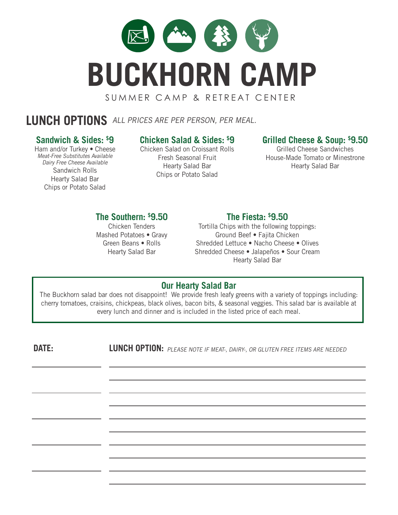

# **LUNCH OPTIONS** ALL PRICES ARE PER PERSON, PER MEAL.

#### **Sandwich & Sides: \$ 9**

Ham and/or Turkey • Cheese Meat-Free Substitutes Available Dairy Free Cheese Available Sandwich Rolls Hearty Salad Bar Chips or Potato Salad

# **Chicken Salad & Sides: \$ 9**

Chicken Salad on Croissant Rolls Fresh Seasonal Fruit Hearty Salad Bar Chips or Potato Salad

#### **Grilled Cheese & Soup: \$ 9.50**

Grilled Cheese Sandwiches House-Made Tomato or Minestrone Hearty Salad Bar

#### **The Southern: \$ 9.50**

Chicken Tenders Mashed Potatoes • Gravy Green Beans • Rolls Hearty Salad Bar

#### **The Fiesta: \$ 9.50**

Tortilla Chips with the following toppings: Ground Beef • Fajita Chicken Shredded Lettuce • Nacho Cheese • Olives Shredded Cheese • Jalapeños • Sour Cream Hearty Salad Bar

#### **Our Hearty Salad Bar**

The Buckhorn salad bar does not disappoint! We provide fresh leafy greens with a variety of toppings including: cherry tomatoes, craisins, chickpeas, black olives, bacon bits, & seasonal veggies. This salad bar is available at every lunch and dinner and is included in the listed price of each meal.

**DATE: LUNCH OPTION:** PLEASE NOTE IF MEAT-, DAIRY-, OR GLUTEN FREE ITEMS ARE NEEDED